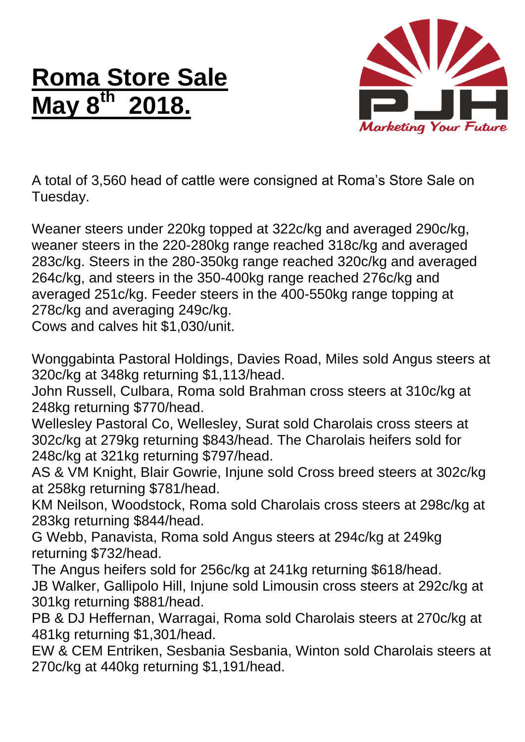## **Roma Store Sale May 8 th 2018.**



A total of 3,560 head of cattle were consigned at Roma's Store Sale on Tuesday.

Weaner steers under 220kg topped at 322c/kg and averaged 290c/kg, weaner steers in the 220-280kg range reached 318c/kg and averaged 283c/kg. Steers in the 280-350kg range reached 320c/kg and averaged 264c/kg, and steers in the 350-400kg range reached 276c/kg and averaged 251c/kg. Feeder steers in the 400-550kg range topping at 278c/kg and averaging 249c/kg.

Cows and calves hit \$1,030/unit.

Wonggabinta Pastoral Holdings, Davies Road, Miles sold Angus steers at 320c/kg at 348kg returning \$1,113/head.

John Russell, Culbara, Roma sold Brahman cross steers at 310c/kg at 248kg returning \$770/head.

Wellesley Pastoral Co, Wellesley, Surat sold Charolais cross steers at 302c/kg at 279kg returning \$843/head. The Charolais heifers sold for 248c/kg at 321kg returning \$797/head.

AS & VM Knight, Blair Gowrie, Injune sold Cross breed steers at 302c/kg at 258kg returning \$781/head.

KM Neilson, Woodstock, Roma sold Charolais cross steers at 298c/kg at 283kg returning \$844/head.

G Webb, Panavista, Roma sold Angus steers at 294c/kg at 249kg returning \$732/head.

The Angus heifers sold for 256c/kg at 241kg returning \$618/head.

JB Walker, Gallipolo Hill, Injune sold Limousin cross steers at 292c/kg at 301kg returning \$881/head.

PB & DJ Heffernan, Warragai, Roma sold Charolais steers at 270c/kg at 481kg returning \$1,301/head.

EW & CEM Entriken, Sesbania Sesbania, Winton sold Charolais steers at 270c/kg at 440kg returning \$1,191/head.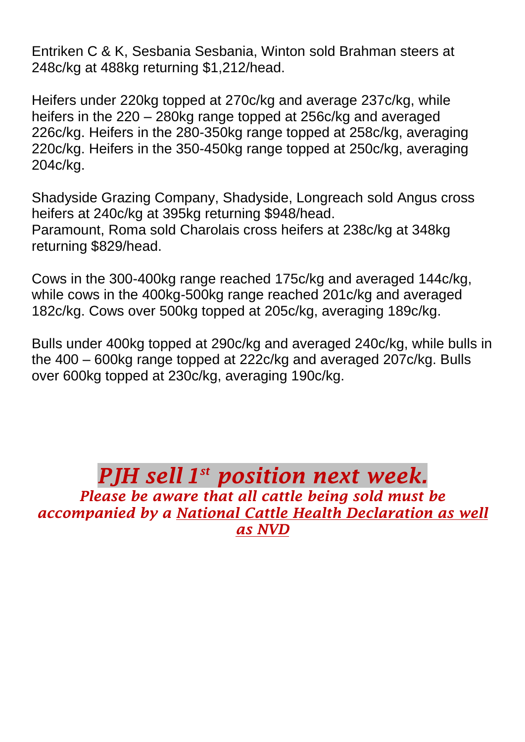Entriken C & K, Sesbania Sesbania, Winton sold Brahman steers at 248c/kg at 488kg returning \$1,212/head.

Heifers under 220kg topped at 270c/kg and average 237c/kg, while heifers in the 220 – 280kg range topped at 256c/kg and averaged 226c/kg. Heifers in the 280-350kg range topped at 258c/kg, averaging 220c/kg. Heifers in the 350-450kg range topped at 250c/kg, averaging 204c/kg.

Shadyside Grazing Company, Shadyside, Longreach sold Angus cross heifers at 240c/kg at 395kg returning \$948/head. Paramount, Roma sold Charolais cross heifers at 238c/kg at 348kg returning \$829/head.

Cows in the 300-400kg range reached 175c/kg and averaged 144c/kg, while cows in the 400kg-500kg range reached 201c/kg and averaged 182c/kg. Cows over 500kg topped at 205c/kg, averaging 189c/kg.

Bulls under 400kg topped at 290c/kg and averaged 240c/kg, while bulls in the 400 – 600kg range topped at 222c/kg and averaged 207c/kg. Bulls over 600kg topped at 230c/kg, averaging 190c/kg.

*PJH sell 1 st position next week. Please be aware that all cattle being sold must be accompanied by a National Cattle Health Declaration as well as NVD*